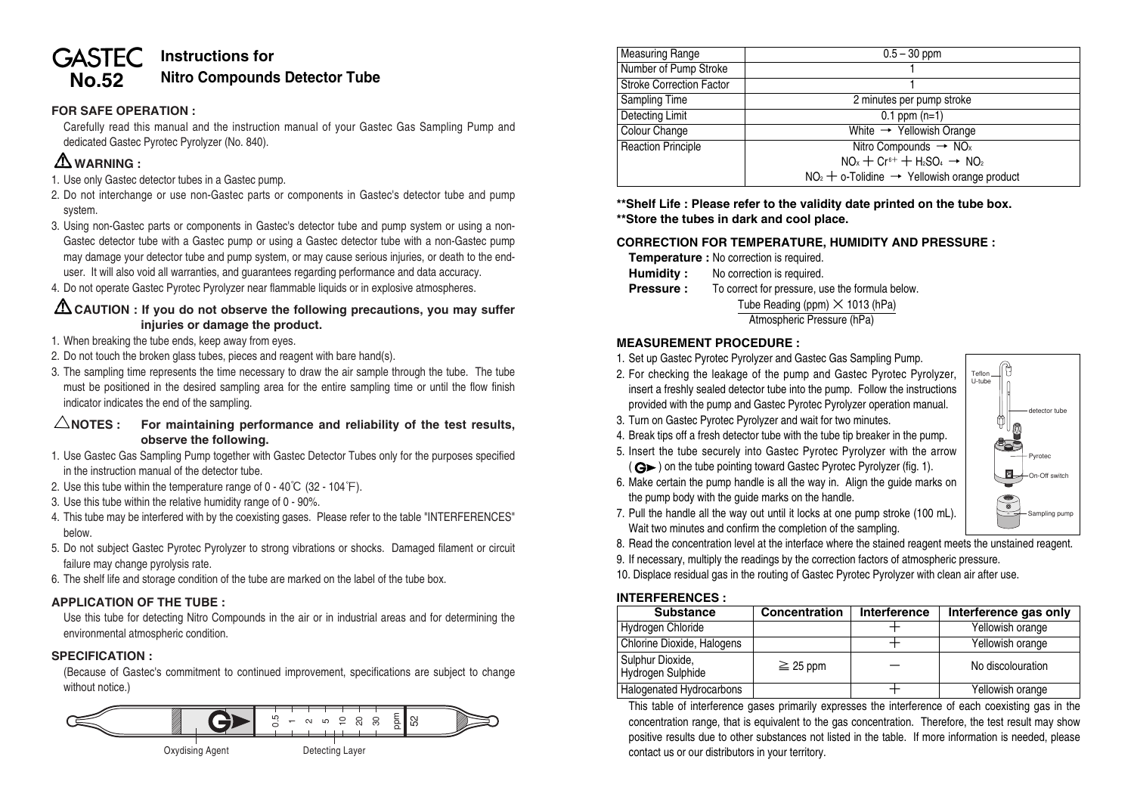#### **Instructions for GASTEC Nitro Compounds Detector Tube No.52**

### **FOR SAFE OPERATION :**

Carefully read this manual and the instruction manual of your Gastec Gas Sampling Pump and dedicated Gastec Pyrotec Pyrolyzer (No. 840).

# **WARNING :**

- 1. Use only Gastec detector tubes in a Gastec pump.
- 2. Do not interchange or use non-Gastec parts or components in Gastec's detector tube and pump system.
- 3. Using non-Gastec parts or components in Gastec's detector tube and pump system or using a non-Gastec detector tube with a Gastec pump or using a Gastec detector tube with a non-Gastec pump may damage your detector tube and pump system, or may cause serious injuries, or death to the enduser. It will also void all warranties, and guarantees regarding performance and data accuracy.
- 4. Do not operate Gastec Pyrotec Pyrolyzer near flammable liquids or in explosive atmospheres.

### **CAUTION : If you do not observe the following precautions, you may suffer injuries or damage the product.**

- 1. When breaking the tube ends, keep away from eyes.
- 2. Do not touch the broken glass tubes, pieces and reagent with bare hand(s).
- 3. The sampling time represents the time necessary to draw the air sample through the tube. The tube must be positioned in the desired sampling area for the entire sampling time or until the flow finish indicator indicates the end of the sampling.

### $\triangle$ NOTES : For maintaining performance and reliability of the test results, **observe the following.**

- 1. Use Gastec Gas Sampling Pump together with Gastec Detector Tubes only for the purposes specified in the instruction manual of the detector tube.
- 2. Use this tube within the temperature range of 0 40  $\degree$ C (32 104  $\degree$ F).
- 3. Use this tube within the relative humidity range of 0 90%.
- 4. This tube may be interfered with by the coexisting gases. Please refer to the table "INTERFERENCES" below.
- 5. Do not subject Gastec Pyrotec Pyrolyzer to strong vibrations or shocks. Damaged filament or circuit failure may change pyrolysis rate.
- 6. The shelf life and storage condition of the tube are marked on the label of the tube box.

## **APPLICATION OF THE TUBE :**

Use this tube for detecting Nitro Compounds in the air or in industrial areas and for determining the environmental atmospheric condition.

## **SPECIFICATION :**

(Because of Gastec's commitment to continued improvement, specifications are subject to change without notice.)



| <b>Measuring Range</b>          | $0.5 - 30$ ppm                                             |  |  |
|---------------------------------|------------------------------------------------------------|--|--|
| Number of Pump Stroke           |                                                            |  |  |
| <b>Stroke Correction Factor</b> |                                                            |  |  |
| <b>Sampling Time</b>            | 2 minutes per pump stroke                                  |  |  |
| Detecting Limit                 | $0.1$ ppm $(n=1)$                                          |  |  |
| Colour Change                   | White $\rightarrow$ Yellowish Orange                       |  |  |
| <b>Reaction Principle</b>       | Nitro Compounds $\rightarrow$ NO <sub>x</sub>              |  |  |
|                                 | $NO_x + Cr^{6+} + H_2SO_4 \rightarrow NO_2$                |  |  |
|                                 | $NO2 + o$ -Tolidine $\rightarrow$ Yellowish orange product |  |  |

**\*\*Shelf Life : Please refer to the validity date printed on the tube box. \*\*Store the tubes in dark and cool place.**

### **CORRECTION FOR TEMPERATURE, HUMIDITY AND PRESSURE :**

**Temperature :** No correction is required.

- **Humidity :** No correction is required.
- **Pressure :** To correct for pressure, use the formula below.

Tube Reading (ppm)  $\times$  1013 (hPa)

## Atmospheric Pressure (hPa)

#### **MEASUREMENT PROCEDURE :**

- 1. Set up Gastec Pyrotec Pyrolyzer and Gastec Gas Sampling Pump.
- 2. For checking the leakage of the pump and Gastec Pyrotec Pyrolyzer, insert a freshly sealed detector tube into the pump. Follow the instructions provided with the pump and Gastec Pyrotec Pyrolyzer operation manual.
- 3. Turn on Gastec Pyrotec Pyrolyzer and wait for two minutes.
- 4. Break tips off a fresh detector tube with the tube tip breaker in the pump.
- 5. Insert the tube securely into Gastec Pyrotec Pyrolyzer with the arrow  $(Q<sub>></sub>)$  on the tube pointing toward Gastec Pyrotec Pyrolyzer (fig. 1).
- 6. Make certain the pump handle is all the way in. Align the guide marks on the pump body with the guide marks on the handle.



- 7. Pull the handle all the way out until it locks at one pump stroke (100 mL). Wait two minutes and confirm the completion of the sampling.
- 8. Read the concentration level at the interface where the stained reagent meets the unstained reagent.
- 9. If necessary, multiply the readings by the correction factors of atmospheric pressure.

10. Displace residual gas in the routing of Gastec Pyrotec Pyrolyzer with clean air after use.

#### **INTERFERENCES :**

| <b>Substance</b>                      | Concentration | Interference | Interference gas only |
|---------------------------------------|---------------|--------------|-----------------------|
| Hydrogen Chloride                     |               |              | Yellowish orange      |
| Chlorine Dioxide, Halogens            |               |              | Yellowish orange      |
| Sulphur Dioxide,<br>Hydrogen Sulphide | $\geq$ 25 ppm |              | No discolouration     |
| Halogenated Hydrocarbons              |               |              | Yellowish orange      |

This table of interference gases primarily expresses the interference of each coexisting gas in the concentration range, that is equivalent to the gas concentration. Therefore, the test result may show positive results due to other substances not listed in the table. If more information is needed, please contact us or our distributors in your territory.